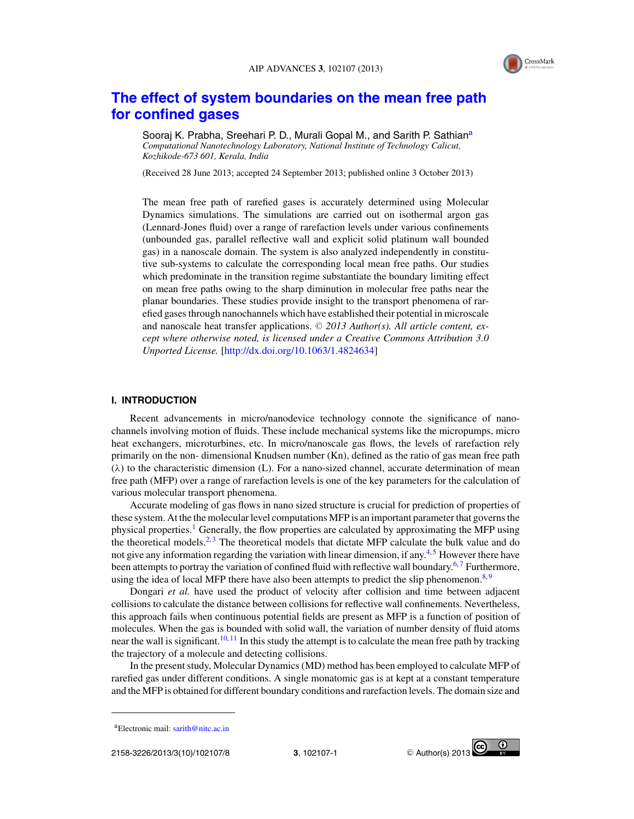

# **The effect of system boundaries on the mean free path for confined gases**

Sooraj K. Prabha, Sreehari P. D., Murali Gopal M., and Sarith P. Sathian<sup>a</sup> *Computational Nanotechnology Laboratory, National Institute of Technology Calicut, Kozhikode-673 601, Kerala, India*

(Received 28 June 2013; accepted 24 September 2013; published online 3 October 2013)

The mean free path of rarefied gases is accurately determined using Molecular Dynamics simulations. The simulations are carried out on isothermal argon gas (Lennard-Jones fluid) over a range of rarefaction levels under various confinements (unbounded gas, parallel reflective wall and explicit solid platinum wall bounded gas) in a nanoscale domain. The system is also analyzed independently in constitutive sub-systems to calculate the corresponding local mean free paths. Our studies which predominate in the transition regime substantiate the boundary limiting effect on mean free paths owing to the sharp diminution in molecular free paths near the planar boundaries. These studies provide insight to the transport phenomena of rarefied gases through nanochannels which have established their potential in microscale and nanoscale heat transfer applications. © 2013 Author(s). All article content, ex*cept where otherwise noted, is licensed under a Creative Commons Attribution 3.0 Unported License.* [http://dx.doi.org/10.1063/1.4824634]

# **I. INTRODUCTION**

Recent advancements in micro/nanodevice technology connote the significance of nanochannels involving motion of fluids. These include mechanical systems like the micropumps, micro heat exchangers, microturbines, etc. In micro/nanoscale gas flows, the levels of rarefaction rely primarily on the non- dimensional Knudsen number (Kn), defined as the ratio of gas mean free path  $(\lambda)$  to the characteristic dimension (L). For a nano-sized channel, accurate determination of mean free path (MFP) over a range of rarefaction levels is one of the key parameters for the calculation of various molecular transport phenomena.

Accurate modeling of gas flows in nano sized structure is crucial for prediction of properties of these system. At the the molecular level computations MFP is an important parameter that governs the physical properties.<sup>1</sup> Generally, the flow properties are calculated by approximating the MFP using the theoretical models.<sup>2,3</sup> The theoretical models that dictate MFP calculate the bulk value and do not give any information regarding the variation with linear dimension, if any.<sup>4,5</sup> However there have been attempts to portray the variation of confined fluid with reflective wall boundary.<sup>6,7</sup> Furthermore, using the idea of local MFP there have also been attempts to predict the slip phenomenon.<sup>8, 9</sup>

Dongari *et al.* have used the product of velocity after collision and time between adjacent collisions to calculate the distance between collisions for reflective wall confinements. Nevertheless, this approach fails when continuous potential fields are present as MFP is a function of position of molecules. When the gas is bounded with solid wall, the variation of number density of fluid atoms near the wall is significant.<sup>10, 11</sup> In this study the attempt is to calculate the mean free path by tracking the trajectory of a molecule and detecting collisions.

In the present study, Molecular Dynamics (MD) method has been employed to calculate MFP of rarefied gas under different conditions. A single monatomic gas is at kept at a constant temperature and the MFP is obtained for different boundary conditions and rarefaction levels. The domain size and



<sup>a</sup>Electronic mail: sarith@nitc.ac.in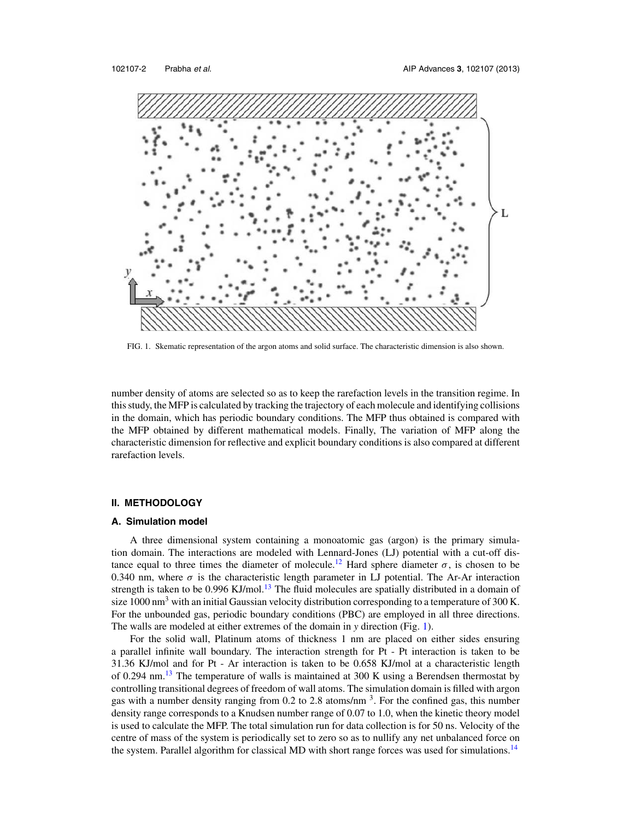

FIG. 1. Skematic representation of the argon atoms and solid surface. The characteristic dimension is also shown.

number density of atoms are selected so as to keep the rarefaction levels in the transition regime. In this study, the MFP is calculated by tracking the trajectory of each molecule and identifying collisions in the domain, which has periodic boundary conditions. The MFP thus obtained is compared with the MFP obtained by different mathematical models. Finally, The variation of MFP along the characteristic dimension for reflective and explicit boundary conditions is also compared at different rarefaction levels.

# **II. METHODOLOGY**

## **A. Simulation model**

A three dimensional system containing a monoatomic gas (argon) is the primary simulation domain. The interactions are modeled with Lennard-Jones (LJ) potential with a cut-off distance equal to three times the diameter of molecule.<sup>12</sup> Hard sphere diameter  $\sigma$ , is chosen to be 0.340 nm, where  $\sigma$  is the characteristic length parameter in LJ potential. The Ar-Ar interaction strength is taken to be  $0.996$  KJ/mol.<sup>13</sup> The fluid molecules are spatially distributed in a domain of size 1000 nm<sup>3</sup> with an initial Gaussian velocity distribution corresponding to a temperature of 300 K. For the unbounded gas, periodic boundary conditions (PBC) are employed in all three directions. The walls are modeled at either extremes of the domain in *y* direction (Fig. 1).

For the solid wall, Platinum atoms of thickness 1 nm are placed on either sides ensuring a parallel infinite wall boundary. The interaction strength for Pt - Pt interaction is taken to be 31.36 KJ/mol and for Pt - Ar interaction is taken to be 0.658 KJ/mol at a characteristic length of 0.294 nm.<sup>13</sup> The temperature of walls is maintained at 300 K using a Berendsen thermostat by controlling transitional degrees of freedom of wall atoms. The simulation domain is filled with argon gas with a number density ranging from 0.2 to 2.8 atoms/nm<sup>3</sup>. For the confined gas, this number density range corresponds to a Knudsen number range of 0.07 to 1.0, when the kinetic theory model is used to calculate the MFP. The total simulation run for data collection is for 50 ns. Velocity of the centre of mass of the system is periodically set to zero so as to nullify any net unbalanced force on the system. Parallel algorithm for classical MD with short range forces was used for simulations.<sup>14</sup>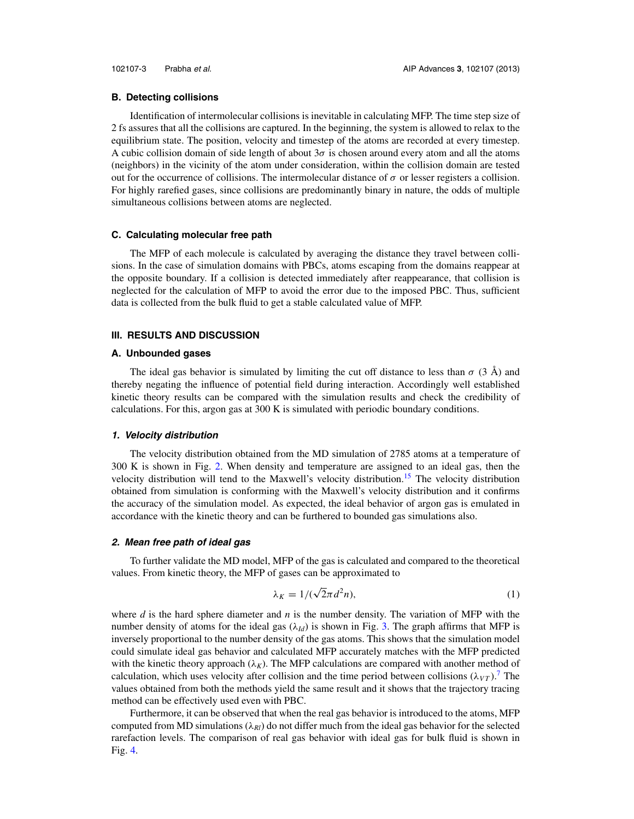# **B. Detecting collisions**

Identification of intermolecular collisions is inevitable in calculating MFP. The time step size of 2 fs assures that all the collisions are captured. In the beginning, the system is allowed to relax to the equilibrium state. The position, velocity and timestep of the atoms are recorded at every timestep. A cubic collision domain of side length of about  $3\sigma$  is chosen around every atom and all the atoms (neighbors) in the vicinity of the atom under consideration, within the collision domain are tested out for the occurrence of collisions. The intermolecular distance of  $\sigma$  or lesser registers a collision. For highly rarefied gases, since collisions are predominantly binary in nature, the odds of multiple simultaneous collisions between atoms are neglected.

# **C. Calculating molecular free path**

The MFP of each molecule is calculated by averaging the distance they travel between collisions. In the case of simulation domains with PBCs, atoms escaping from the domains reappear at the opposite boundary. If a collision is detected immediately after reappearance, that collision is neglected for the calculation of MFP to avoid the error due to the imposed PBC. Thus, sufficient data is collected from the bulk fluid to get a stable calculated value of MFP.

## **III. RESULTS AND DISCUSSION**

#### **A. Unbounded gases**

The ideal gas behavior is simulated by limiting the cut off distance to less than  $\sigma$  (3 Å) and thereby negating the influence of potential field during interaction. Accordingly well established kinetic theory results can be compared with the simulation results and check the credibility of calculations. For this, argon gas at 300 K is simulated with periodic boundary conditions.

#### **1. Velocity distribution**

The velocity distribution obtained from the MD simulation of 2785 atoms at a temperature of 300 K is shown in Fig. 2. When density and temperature are assigned to an ideal gas, then the velocity distribution will tend to the Maxwell's velocity distribution.<sup>15</sup> The velocity distribution obtained from simulation is conforming with the Maxwell's velocity distribution and it confirms the accuracy of the simulation model. As expected, the ideal behavior of argon gas is emulated in accordance with the kinetic theory and can be furthered to bounded gas simulations also.

# **2. Mean free path of ideal gas**

To further validate the MD model, MFP of the gas is calculated and compared to the theoretical values. From kinetic theory, the MFP of gases can be approximated to

$$
\lambda_K = 1/(\sqrt{2}\pi d^2 n),\tag{1}
$$

where *d* is the hard sphere diameter and *n* is the number density. The variation of MFP with the number density of atoms for the ideal gas  $(\lambda_{Id})$  is shown in Fig. 3. The graph affirms that MFP is inversely proportional to the number density of the gas atoms. This shows that the simulation model could simulate ideal gas behavior and calculated MFP accurately matches with the MFP predicted with the kinetic theory approach  $(\lambda_K)$ . The MFP calculations are compared with another method of calculation, which uses velocity after collision and the time period between collisions  $(\lambda_{VT})$ .<sup>7</sup> The values obtained from both the methods yield the same result and it shows that the trajectory tracing method can be effectively used even with PBC.

Furthermore, it can be observed that when the real gas behavior is introduced to the atoms, MFP computed from MD simulations ( $\lambda_{Rl}$ ) do not differ much from the ideal gas behavior for the selected rarefaction levels. The comparison of real gas behavior with ideal gas for bulk fluid is shown in Fig. 4.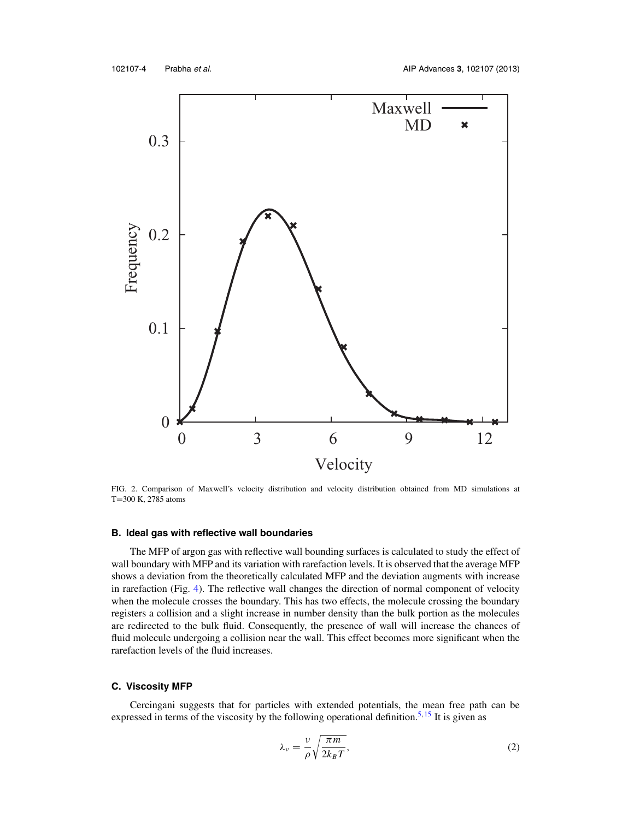

FIG. 2. Comparison of Maxwell's velocity distribution and velocity distribution obtained from MD simulations at <sup>T</sup>=300 K, 2785 atoms

## **B. Ideal gas with reflective wall boundaries**

The MFP of argon gas with reflective wall bounding surfaces is calculated to study the effect of wall boundary with MFP and its variation with rarefaction levels. It is observed that the average MFP shows a deviation from the theoretically calculated MFP and the deviation augments with increase in rarefaction (Fig. 4). The reflective wall changes the direction of normal component of velocity when the molecule crosses the boundary. This has two effects, the molecule crossing the boundary registers a collision and a slight increase in number density than the bulk portion as the molecules are redirected to the bulk fluid. Consequently, the presence of wall will increase the chances of fluid molecule undergoing a collision near the wall. This effect becomes more significant when the rarefaction levels of the fluid increases.

# **C. Viscosity MFP**

Cercingani suggests that for particles with extended potentials, the mean free path can be expressed in terms of the viscosity by the following operational definition.<sup>5, 15</sup> It is given as

$$
\lambda_{\nu} = \frac{\nu}{\rho} \sqrt{\frac{\pi m}{2k_B T}},\tag{2}
$$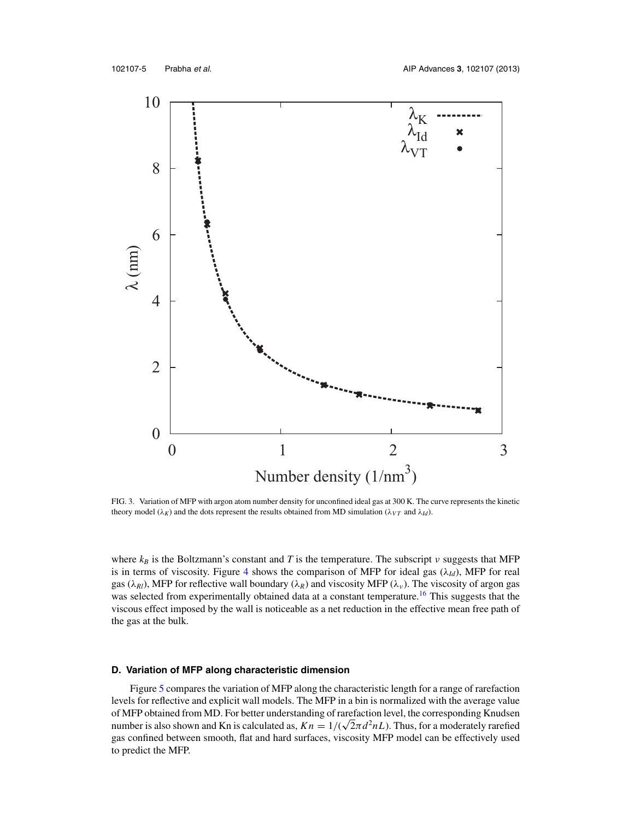

FIG. 3. Variation of MFP with argon atom number density for unconfined ideal gas at 300 K. The curve represents the kinetic theory model ( $\lambda_K$ ) and the dots represent the results obtained from MD simulation ( $\lambda_{VT}$  and  $\lambda_{Id}$ ).

where  $k_B$  is the Boltzmann's constant and T is the temperature. The subscript v suggests that MFP is in terms of viscosity. Figure 4 shows the comparison of MFP for ideal gas  $(\lambda_{Id})$ , MFP for real gas ( $\lambda_{Rl}$ ), MFP for reflective wall boundary ( $\lambda_{R}$ ) and viscosity MFP ( $\lambda_{v}$ ). The viscosity of argon gas was selected from experimentally obtained data at a constant temperature.<sup>16</sup> This suggests that the viscous effect imposed by the wall is noticeable as a net reduction in the effective mean free path of the gas at the bulk.

## **D. Variation of MFP along characteristic dimension**

Figure 5 compares the variation of MFP along the characteristic length for a range of rarefaction levels for reflective and explicit wall models. The MFP in a bin is normalized with the average value of MFP obtained from MD. For better understanding of rarefaction level, the corresponding Knudsen number is also shown and Kn is calculated as,  $Kn = 1/(\sqrt{2}\pi d^2nL)$ . Thus, for a moderately rarefied gas confined between smooth, flat and hard surfaces, viscosity MFP model can be effectively used to predict the MFP.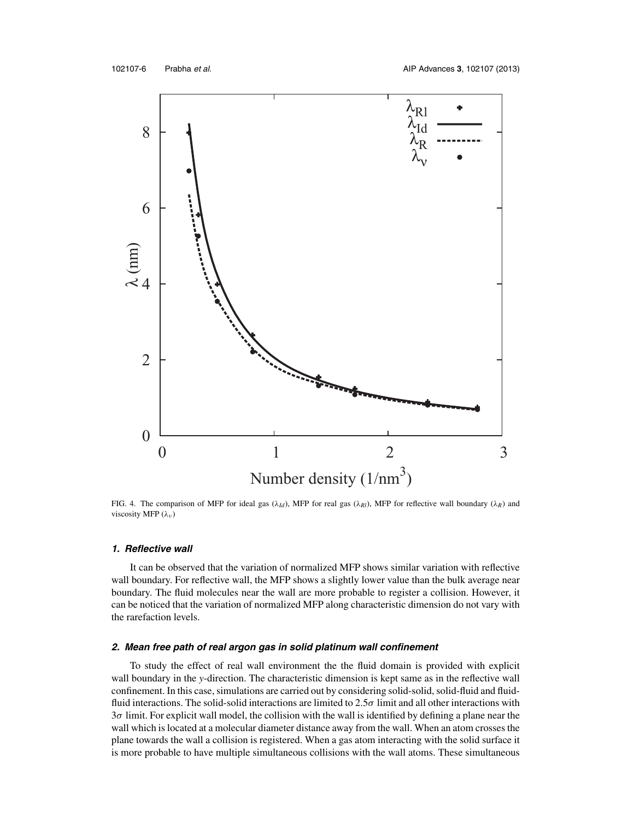

FIG. 4. The comparison of MFP for ideal gas ( $\lambda_{Id}$ ), MFP for real gas ( $\lambda_{RI}$ ), MFP for reflective wall boundary ( $\lambda_R$ ) and viscosity MFP  $(\lambda_{\nu})$ 

## **1. Reflective wall**

It can be observed that the variation of normalized MFP shows similar variation with reflective wall boundary. For reflective wall, the MFP shows a slightly lower value than the bulk average near boundary. The fluid molecules near the wall are more probable to register a collision. However, it can be noticed that the variation of normalized MFP along characteristic dimension do not vary with the rarefaction levels.

# 2. Mean free path of real argon gas in solid platinum wall confinement

To study the effect of real wall environment the the fluid domain is provided with explicit wall boundary in the *y*-direction. The characteristic dimension is kept same as in the reflective wall confinement. In this case, simulations are carried out by considering solid-solid, solid-fluid and fluidfluid interactions. The solid-solid interactions are limited to  $2.5\sigma$  limit and all other interactions with  $3\sigma$  limit. For explicit wall model, the collision with the wall is identified by defining a plane near the wall which is located at a molecular diameter distance away from the wall. When an atom crosses the plane towards the wall a collision is registered. When a gas atom interacting with the solid surface it is more probable to have multiple simultaneous collisions with the wall atoms. These simultaneous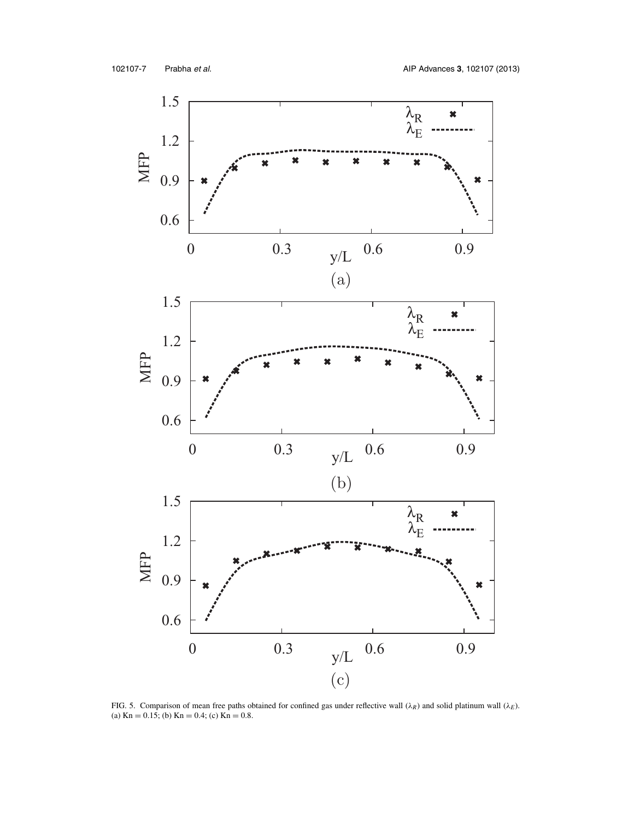

FIG. 5. Comparison of mean free paths obtained for confined gas under reflective wall (λ*R*) and solid platinum wall (λ*E*). (a) Kn =  $0.15$ ; (b) Kn =  $0.4$ ; (c) Kn =  $0.8$ .